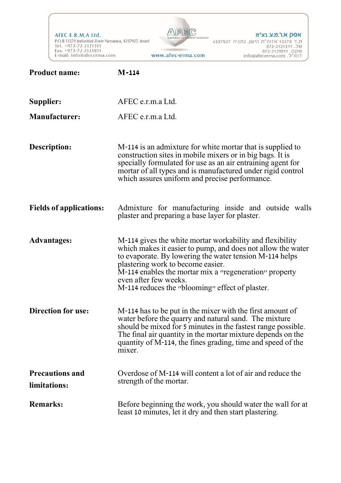AFEC E.R.M.A Ltd. P.O.B 13379 Industrial Zone Nenanya, 4237927, Israel<br>Tel. +972-72-2121311<br>Fax. +972-72-2121811<br>E-mail: info@afecerma.com www.afec-erma.com



אפק א.ר.מ.ע בע״מ 

| <b>Product name:</b>                   | $M-114$                                                                                                                                                                                                                                                                                                                                                              |
|----------------------------------------|----------------------------------------------------------------------------------------------------------------------------------------------------------------------------------------------------------------------------------------------------------------------------------------------------------------------------------------------------------------------|
| Supplier:                              | AFEC e.r.m.a Ltd.                                                                                                                                                                                                                                                                                                                                                    |
| <b>Manufacturer:</b>                   | AFEC e.r.m.a Ltd.                                                                                                                                                                                                                                                                                                                                                    |
| Description:                           | M-114 is an admixture for white mortar that is supplied to<br>construction sites in mobile mixers or in big bags. It is<br>specially formulated for use as an air entraining agent for<br>mortar of all types and is manufactured under rigid control<br>which assures uniform and precise performance.                                                              |
| <b>Fields of applications:</b>         | Admixture for manufacturing inside and outside walls<br>plaster and preparing a base layer for plaster.                                                                                                                                                                                                                                                              |
| <b>Advantages:</b>                     | M-114 gives the white mortar workability and flexibility<br>which makes it easier to pump, and does not allow the water<br>to evaporate. By lowering the water tension M-114 helps<br>plastering work to become easier.<br>M-114 enables the mortar mix a <i>"regeneration"</i> property<br>even after few weeks.<br>M-114 reduces the "blooming" effect of plaster. |
| <b>Direction for use:</b>              | M-114 has to be put in the mixer with the first amount of<br>water before the quarry and natural sand. The mixture<br>should be mixed for 5 minutes in the fastest range possible.<br>The final air quantity in the mortar mixture depends on the<br>quantity of M-114, the fines grading, time and speed of the<br>mixer.                                           |
| <b>Precautions and</b><br>limitations: | Overdose of M-114 will content a lot of air and reduce the<br>strength of the mortar.                                                                                                                                                                                                                                                                                |
| <b>Remarks:</b>                        | Before beginning the work, you should water the wall for at<br>least 10 minutes, let it dry and then start plastering.                                                                                                                                                                                                                                               |